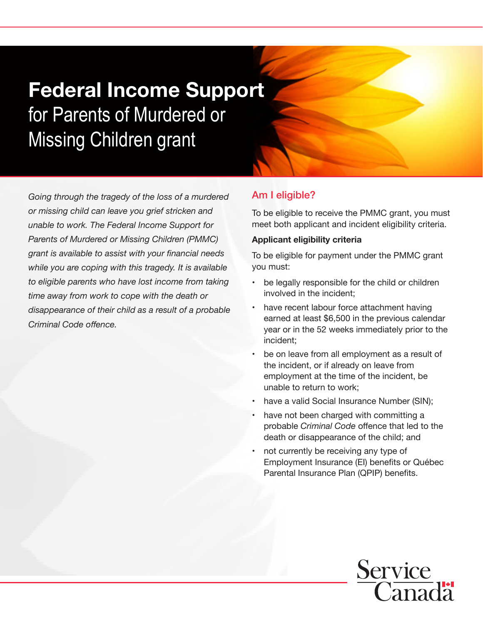# Federal Income Support for Parents of Murdered or Missing Children grant

*Going through the tragedy of the loss of a murdered or missing child can leave you grief stricken and unable to work. The Federal Income Support for Parents of Murdered or Missing Children (PMMC) grant is available to assist with your financial needs while you are coping with this tragedy. It is available to eligible parents who have lost income from taking time away from work to cope with the death or disappearance of their child as a result of a probable Criminal Code offence.*

# Am I eligible?

To be eligible to receive the PMMC grant, you must meet both applicant and incident eligibility criteria.

#### **Applicant eligibility criteria**

To be eligible for payment under the PMMC grant you must:

- be legally responsible for the child or children involved in the incident;
- have recent labour force attachment having earned at least \$6,500 in the previous calendar year or in the 52 weeks immediately prior to the incident;
- be on leave from all employment as a result of the incident, or if already on leave from employment at the time of the incident, be unable to return to work;
- have a valid Social Insurance Number (SIN);
- have not been charged with committing a probable *Criminal Code* offence that led to the death or disappearance of the child; and
- not currently be receiving any type of Employment Insurance (EI) benefits or Québec Parental Insurance Plan (QPIP) benefits.

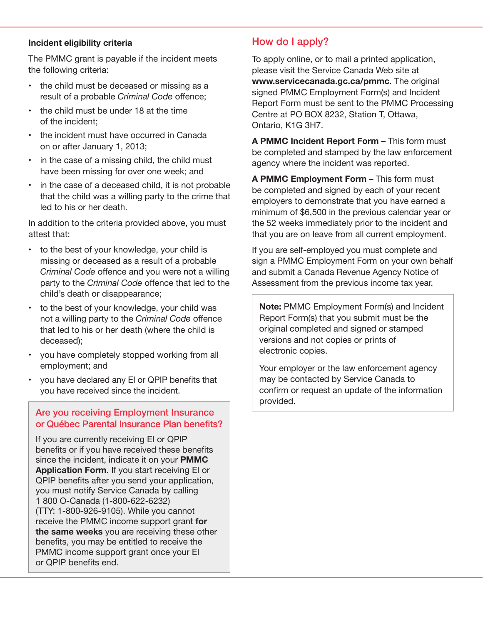#### **Incident eligibility criteria**

The PMMC grant is payable if the incident meets the following criteria:

- the child must be deceased or missing as a result of a probable *Criminal Code* offence;
- • the child must be under 18 at the time of the incident;
- the incident must have occurred in Canada on or after January 1, 2013;
- in the case of a missing child, the child must have been missing for over one week; and
- in the case of a deceased child, it is not probable that the child was a willing party to the crime that led to his or her death.

In addition to the criteria provided above, you must attest that:

- • to the best of your knowledge, your child is missing or deceased as a result of a probable *Criminal Code* offence and you were not a willing party to the *Criminal Code* offence that led to the child's death or disappearance;
- to the best of your knowledge, your child was not a willing party to the *Criminal Code* offence that led to his or her death (where the child is deceased);
- • you have completely stopped working from all employment; and
- • you have declared any EI or QPIP benefits that you have received since the incident.

## Are you receiving Employment Insurance or Québec Parental Insurance Plan benefits?

If you are currently receiving EI or QPIP benefits or if you have received these benefits since the incident, indicate it on your **PMMC Application Form**. If you start receiving EI or QPIP benefits after you send your application, you must notify Service Canada by calling 1 800 O-Canada (1-800-622-6232) (TTY: 1-800-926-9105). While you cannot receive the PMMC income support grant **for the same weeks** you are receiving these other benefits, you may be entitled to receive the PMMC income support grant once your EI or QPIP benefits end.

# How do I apply?

To apply online, or to mail a printed application, please visit the Service Canada Web site at **www.servicecanada.gc.ca/pmmc**. The original signed PMMC Employment Form(s) and Incident Report Form must be sent to the PMMC Processing Centre at PO BOX 8232, Station T, Ottawa, Ontario, K1G 3H7.

**A PMMC Incident Report Form –** This form must be completed and stamped by the law enforcement agency where the incident was reported.

**A PMMC Employment Form –** This form must be completed and signed by each of your recent employers to demonstrate that you have earned a minimum of \$6,500 in the previous calendar year or the 52 weeks immediately prior to the incident and that you are on leave from all current employment.

If you are self-employed you must complete and sign a PMMC Employment Form on your own behalf and submit a Canada Revenue Agency Notice of Assessment from the previous income tax year.

**Note:** PMMC Employment Form(s) and Incident Report Form(s) that you submit must be the original completed and signed or stamped versions and not copies or prints of electronic copies.

Your employer or the law enforcement agency may be contacted by Service Canada to confirm or request an update of the information provided.